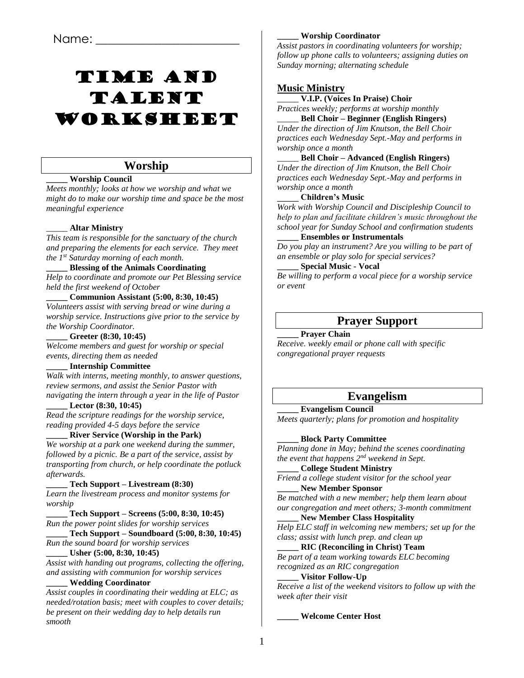# Time and Talent Worksheet

# **Worship**

# **\_\_\_\_\_ Worship Council**

*Meets monthly; looks at how we worship and what we might do to make our worship time and space be the most meaningful experience*

# \_\_\_\_\_ **Altar Ministry**

*This team is responsible for the sanctuary of the church and preparing the elements for each service. They meet the 1st Saturday morning of each month.*

### **\_\_\_\_\_ Blessing of the Animals Coordinating**

*Help to coordinate and promote our Pet Blessing service held the first weekend of October*

### **\_\_\_\_\_ Communion Assistant (5:00, 8:30, 10:45)**

*Volunteers assist with serving bread or wine during a worship service. Instructions give prior to the service by the Worship Coordinator.*

**\_\_\_\_\_ Greeter (8:30, 10:45)**

*Welcome members and guest for worship or special events, directing them as needed*

### **\_\_\_\_\_ Internship Committee**

*Walk with interns, meeting monthly, to answer questions, review sermons, and assist the Senior Pastor with navigating the intern through a year in the life of Pastor*

### **\_\_\_\_\_ Lector (8:30, 10:45)**

*Read the scripture readings for the worship service, reading provided 4-5 days before the service* 

### **\_\_\_\_\_ River Service (Worship in the Park)**

*We worship at a park one weekend during the summer, followed by a picnic. Be a part of the service, assist by transporting from church, or help coordinate the potluck afterwards.*

# **\_\_\_\_\_ Tech Support – Livestream (8:30)**

*Learn the livestream process and monitor systems for worship*

**\_\_\_\_\_ Tech Support – Screens (5:00, 8:30, 10:45)** *Run the power point slides for worship services*

**\_\_\_\_\_ Tech Support – Soundboard (5:00, 8:30, 10:45)** *Run the sound board for worship services*

### **\_\_\_\_\_ Usher (5:00, 8:30, 10:45)**

*Assist with handing out programs, collecting the offering, and assisting with communion for worship services*

# **\_\_\_\_\_ Wedding Coordinator**

*Assist couples in coordinating their wedding at ELC; as needed/rotation basis; meet with couples to cover details; be present on their wedding day to help details run smooth*

### **\_\_\_\_\_ Worship Coordinator**

*Assist pastors in coordinating volunteers for worship; follow up phone calls to volunteers; assigning duties on Sunday morning; alternating schedule*

# **Music Ministry**

\_\_\_\_\_ **V.I.P. (Voices In Praise) Choir**

*Practices weekly; performs at worship monthly* \_\_\_\_\_ **Bell Choir – Beginner (English Ringers)**

*Under the direction of Jim Knutson, the Bell Choir practices each Wednesday Sept.-May and performs in worship once a month*

\_\_\_\_\_ **Bell Choir – Advanced (English Ringers)** *Under the direction of Jim Knutson, the Bell Choir practices each Wednesday Sept.-May and performs in worship once a month*

### **\_\_\_\_\_ Children's Music**

*Work with Worship Council and Discipleship Council to help to plan and facilitate children's music throughout the school year for Sunday School and confirmation students*

### **\_\_\_\_\_ Ensembles or Instrumentals**

*Do you play an instrument? Are you willing to be part of an ensemble or play solo for special services?* 

### **\_\_\_\_\_ Special Music - Vocal**

*Be willing to perform a vocal piece for a worship service or event*

# **Prayer Support**

### **\_\_\_\_\_ Prayer Chain**

*Receive. weekly email or phone call with specific congregational prayer requests*

# **Evangelism**

**\_\_\_\_\_ Evangelism Council** *Meets quarterly; plans for promotion and hospitality*

### **\_\_\_\_\_ Block Party Committee**

*Planning done in May; behind the scenes coordinating the event that happens 2nd weekend in Sept.*

### **\_\_\_\_\_ College Student Ministry**

*Friend a college student visitor for the school year* **\_\_\_\_\_ New Member Sponsor**

*Be matched with a new member; help them learn about our congregation and meet others; 3-month commitment*

**\_\_\_\_\_ New Member Class Hospitality** *Help ELC staff in welcoming new members; set up for the class; assist with lunch prep. and clean up*

### **\_\_\_\_\_ RIC (Reconciling in Christ) Team**

*Be part of a team working towards ELC becoming recognized as an RIC congregation*

### **\_\_\_\_\_ Visitor Follow-Up**

*Receive a list of the weekend visitors to follow up with the week after their visit*

### **\_\_\_\_\_ Welcome Center Host**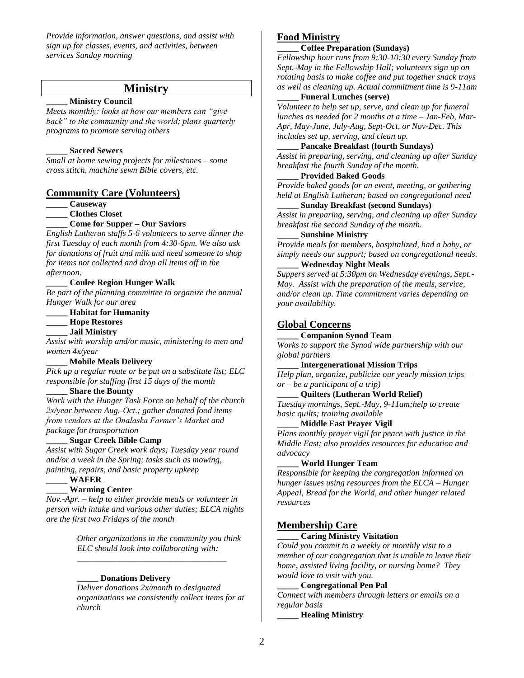*Provide information, answer questions, and assist with sign up for classes, events, and activities, between services Sunday morning*

# **Ministry**

### **\_\_\_\_\_ Ministry Council**

*Meets monthly; looks at how our members can "give back" to the community and the world; plans quarterly programs to promote serving others*

### **\_\_\_\_\_ Sacred Sewers**

*Small at home sewing projects for milestones – some cross stitch, machine sewn Bible covers, etc.*

### **Community Care (Volunteers)**

**\_\_\_\_\_ Causeway**

### **\_\_\_\_\_ Clothes Closet**

**\_\_\_\_\_ Come for Supper – Our Saviors**

*English Lutheran staffs 5-6 volunteers to serve dinner the first Tuesday of each month from 4:30-6pm. We also ask for donations of fruit and milk and need someone to shop for items not collected and drop all items off in the afternoon.*

### **\_\_\_\_\_ Coulee Region Hunger Walk**

*Be part of the planning committee to organize the annual Hunger Walk for our area*

### **\_\_\_\_\_ Habitat for Humanity**

**\_\_\_\_\_ Hope Restores**

**\_\_\_\_\_ Jail Ministry**

*Assist with worship and/or music, ministering to men and women 4x/year*

### **\_\_\_\_\_ Mobile Meals Delivery**

*Pick up a regular route or be put on a substitute list; ELC responsible for staffing first 15 days of the month*

### **\_\_\_\_\_ Share the Bounty**

*Work with the Hunger Task Force on behalf of the church 2x/year between Aug.-Oct.; gather donated food items from vendors at the Onalaska Farmer's Market and package for transportation*

### **\_\_\_\_\_ Sugar Creek Bible Camp**

*Assist with Sugar Creek work days; Tuesday year round and/or a week in the Spring; tasks such as mowing, painting, repairs, and basic property upkeep*

**\_\_\_\_\_ WAFER**

### **\_\_\_\_\_ Warming Center**

*Nov.-Apr. – help to either provide meals or volunteer in person with intake and various other duties; ELCA nights are the first two Fridays of the month*

> *Other organizations in the community you think ELC should look into collaborating with:*

*\_\_\_\_\_\_\_\_\_\_\_\_\_\_\_\_\_\_\_\_\_\_\_\_\_\_\_\_\_\_\_\_\_\_\_*

### **\_\_\_\_\_ Donations Delivery**

*Deliver donations 2x/month to designated organizations we consistently collect items for at church*

### **Food Ministry**

### **\_\_\_\_\_ Coffee Preparation (Sundays)**

*Fellowship hour runs from 9:30-10:30 every Sunday from Sept.-May in the Fellowship Hall; volunteers sign up on rotating basis to make coffee and put together snack trays as well as cleaning up. Actual commitment time is 9-11am*

### **\_\_\_\_\_ Funeral Lunches (serve)**

*Volunteer to help set up, serve, and clean up for funeral lunches as needed for 2 months at a time – Jan-Feb, Mar-Apr, May-June, July-Aug, Sept-Oct, or Nov-Dec. This includes set up, serving, and clean up.*

### **\_\_\_\_\_ Pancake Breakfast (fourth Sundays)**

*Assist in preparing, serving, and cleaning up after Sunday breakfast the fourth Sunday of the month.*

### **\_\_\_\_\_ Provided Baked Goods**

*Provide baked goods for an event, meeting, or gathering held at English Lutheran; based on congregational need*

# **\_\_\_\_\_ Sunday Breakfast (second Sundays)**

*Assist in preparing, serving, and cleaning up after Sunday breakfast the second Sunday of the month.*

# **\_\_\_\_\_ Sunshine Ministry**

*Provide meals for members, hospitalized, had a baby, or simply needs our support; based on congregational needs.*

# **\_\_\_\_\_ Wednesday Night Meals**

*Suppers served at 5:30pm on Wednesday evenings, Sept.- May. Assist with the preparation of the meals, service, and/or clean up. Time commitment varies depending on your availability.*

### **Global Concerns**

### **\_\_\_\_\_ Companion Synod Team**

*Works to support the Synod wide partnership with our global partners*

### **\_\_\_\_\_ Intergenerational Mission Trips**

*Help plan, organize, publicize our yearly mission trips – or – be a participant of a trip)*

### **\_\_\_\_\_ Quilters (Lutheran World Relief)**

*Tuesday mornings, Sept.-May, 9-11am;help to create basic quilts; training available*

### **\_\_\_\_\_ Middle East Prayer Vigil**

*Plans monthly prayer vigil for peace with justice in the Middle East; also provides resources for education and advocacy*

#### **\_\_\_\_\_ World Hunger Team**

*Responsible for keeping the congregation informed on hunger issues using resources from the ELCA – Hunger Appeal, Bread for the World, and other hunger related resources*

# **Membership Care**

### **\_\_\_\_\_ Caring Ministry Visitation**

*Could you commit to a weekly or monthly visit to a member of our congregation that is unable to leave their home, assisted living facility, or nursing home? They would love to visit with you.* 

### **\_\_\_\_\_ Congregational Pen Pal**

*Connect with members through letters or emails on a regular basis*

**\_\_\_\_\_ Healing Ministry**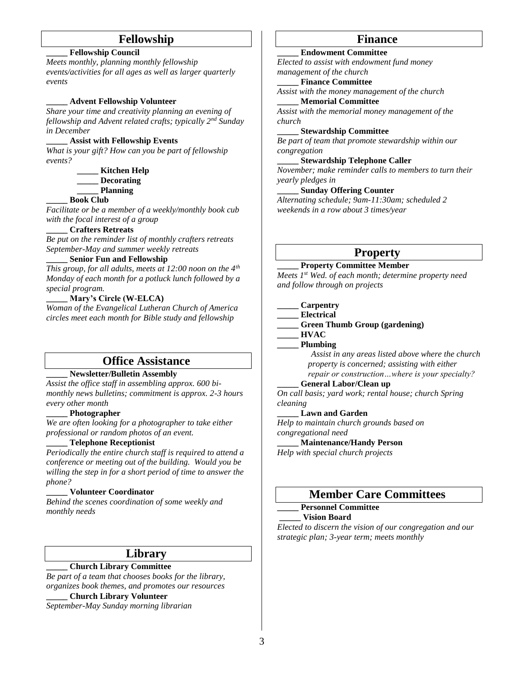# **Fellowship**

### **\_\_\_\_\_ Fellowship Council**

*Meets monthly, planning monthly fellowship events/activities for all ages as well as larger quarterly events*

### **\_\_\_\_\_ Advent Fellowship Volunteer**

*Share your time and creativity planning an evening of fellowship and Advent related crafts; typically 2nd Sunday in December*

### **\_\_\_\_\_ Assist with Fellowship Events**

*What is your gift? How can you be part of fellowship events?*

> **\_\_\_\_\_ Kitchen Help \_\_\_\_\_ Decorating \_\_\_\_\_ Planning**

### **\_\_\_\_\_ Book Club**

*Facilitate or be a member of a weekly/monthly book cub with the focal interest of a group*

### **\_\_\_\_\_ Crafters Retreats**

*Be put on the reminder list of monthly crafters retreats September-May and summer weekly retreats*

### **\_\_\_\_\_ Senior Fun and Fellowship**

*This group, for all adults, meets at 12:00 noon on the 4th Monday of each month for a potluck lunch followed by a special program.*

# **\_\_\_\_\_ Mary's Circle (W-ELCA)**

*Woman of the Evangelical Lutheran Church of America circles meet each month for Bible study and fellowship*

# **Office Assistance**

# **\_\_\_\_\_ Newsletter/Bulletin Assembly**

*Assist the office staff in assembling approx. 600 bimonthly news bulletins; commitment is approx. 2-3 hours every other month*

### **\_\_\_\_\_ Photographer**

*We are often looking for a photographer to take either professional or random photos of an event.*

### **\_\_\_\_\_ Telephone Receptionist**

*Periodically the entire church staff is required to attend a conference or meeting out of the building. Would you be willing the step in for a short period of time to answer the phone?*

### **\_\_\_\_\_ Volunteer Coordinator**

*Behind the scenes coordination of some weekly and monthly needs*

### **Library**

### **\_\_\_\_\_ Church Library Committee**

*Be part of a team that chooses books for the library, organizes book themes, and promotes our resources*

**\_\_\_\_\_ Church Library Volunteer**

*September-May Sunday morning librarian*

# **Finance**

### **\_\_\_\_\_ Endowment Committee**

*Elected to assist with endowment fund money management of the church*

### **\_\_\_\_\_ Finance Committee**

*Assist with the money management of the church* **\_\_\_\_\_ Memorial Committee**

*Assist with the memorial money management of the church*

### **\_\_\_\_\_ Stewardship Committee**

*Be part of team that promote stewardship within our congregation*

# **\_\_\_\_\_ Stewardship Telephone Caller**

*November; make reminder calls to members to turn their yearly pledges in*

### **\_\_\_\_\_ Sunday Offering Counter**

*Alternating schedule; 9am-11:30am; scheduled 2 weekends in a row about 3 times/year*

# **Property**

#### **\_\_\_\_\_ Property Committee Member**

*Meets 1 st Wed. of each month; determine property need and follow through on projects*

### **\_\_\_\_\_ Carpentry**

**\_\_\_\_\_ Electrical**

### **\_\_\_\_\_ Green Thumb Group (gardening)**

**\_\_\_\_\_ HVAC**

### **\_\_\_\_\_ Plumbing**

*Assist in any areas listed above where the church property is concerned; assisting with either repair or construction…where is your specialty?*

### **\_\_\_\_\_ General Labor/Clean up**

*On call basis; yard work; rental house; church Spring cleaning*

#### **\_\_\_\_\_ Lawn and Garden**

*Help to maintain church grounds based on congregational need*

**\_\_\_\_\_ Maintenance/Handy Person**

*Help with special church projects*

# **Member Care Committees**

### **\_\_\_\_\_ Personnel Committee**

### **\_\_\_\_\_ Vision Board**

*Elected to discern the vision of our congregation and our strategic plan; 3-year term; meets monthly*